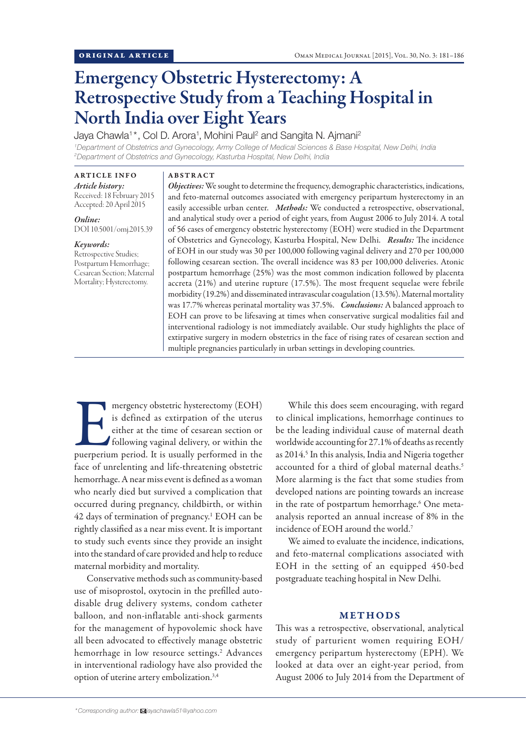# Emergency Obstetric Hysterectomy: A Retrospective Study from a Teaching Hospital in North India over Eight Years

Jaya Chawla<sup>1\*</sup>, Col D. Arora<sup>1</sup>, Mohini Paul<sup>2</sup> and Sangita N. Ajmani<sup>2</sup>

*1 Department of Obstetrics and Gynecology, Army College of Medical Sciences & Base Hospital, New Delhi, India 2 Department of Obstetrics and Gynecology, Kasturba Hospital, New Delhi, India*

## ARTICLE INFO

*Article history:*  Received: 18 February 2015 Accepted: 20 April 2015

*Online:* DOI 10.5001/omj.2015.39

## *Keywords:*

Retrospective Studies; Postpartum Hemorrhage; Cesarean Section; Maternal Mortality; Hysterectomy.

## ABSTRACT

*Objectives:* We sought to determine the frequency, demographic characteristics, indications, and feto-maternal outcomes associated with emergency peripartum hysterectomy in an easily accessible urban center. *Methods:* We conducted a retrospective, observational, and analytical study over a period of eight years, from August 2006 to July 2014. A total of 56 cases of emergency obstetric hysterectomy (EOH) were studied in the Department of Obstetrics and Gynecology, Kasturba Hospital, New Delhi. *Results:* The incidence of EOH in our study was 30 per 100,000 following vaginal delivery and 270 per 100,000 following cesarean section. The overall incidence was 83 per 100,000 deliveries. Atonic postpartum hemorrhage (25%) was the most common indication followed by placenta accreta (21%) and uterine rupture (17.5%). The most frequent sequelae were febrile morbidity (19.2%) and disseminated intravascular coagulation (13.5%). Maternal mortality was 17.7% whereas perinatal mortality was 37.5%. *Conclusions:* A balanced approach to EOH can prove to be lifesaving at times when conservative surgical modalities fail and interventional radiology is not immediately available. Our study highlights the place of extirpative surgery in modern obstetrics in the face of rising rates of cesarean section and multiple pregnancies particularly in urban settings in developing countries.

mergency obstetric hysterectomy (EOH) is defined as extirpation of the uterus either at the time of cesarean section or following vaginal delivery, or within the puerperium period. It is usually performed in the is defined as extirpation of the uterus either at the time of cesarean section or following vaginal delivery, or within the face of unrelenting and life-threatening obstetric hemorrhage. A near miss event is defined as a woman who nearly died but survived a complication that occurred during pregnancy, childbirth, or within 42 days of termination of pregnancy.<sup>1</sup> EOH can be rightly classified as a near miss event. It is important to study such events since they provide an insight into the standard of care provided and help to reduce maternal morbidity and mortality.

Conservative methods such as community-based use of misoprostol, oxytocin in the prefilled autodisable drug delivery systems, condom catheter balloon, and non-inflatable anti-shock garments for the management of hypovolemic shock have all been advocated to effectively manage obstetric hemorrhage in low resource settings.<sup>2</sup> Advances in interventional radiology have also provided the option of uterine artery embolization.3,4

While this does seem encouraging, with regard to clinical implications, hemorrhage continues to be the leading individual cause of maternal death worldwide accounting for 27.1% of deaths as recently as 2014.<sup>5</sup> In this analysis, India and Nigeria together accounted for a third of global maternal deaths.<sup>5</sup> More alarming is the fact that some studies from developed nations are pointing towards an increase in the rate of postpartum hemorrhage.<sup>6</sup> One metaanalysis reported an annual increase of 8% in the incidence of EOH around the world.<sup>7</sup>

We aimed to evaluate the incidence, indications, and feto-maternal complications associated with EOH in the setting of an equipped 450-bed postgraduate teaching hospital in New Delhi.

## METHODS

This was a retrospective, observational, analytical study of parturient women requiring EOH/ emergency peripartum hysterectomy (EPH). We looked at data over an eight-year period, from August 2006 to July 2014 from the Department of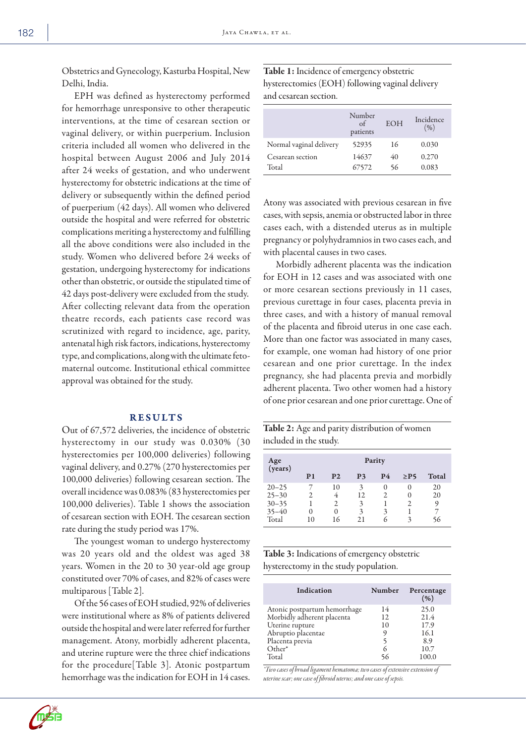Obstetrics and Gynecology, Kasturba Hospital, New Delhi, India.

EPH was defined as hysterectomy performed for hemorrhage unresponsive to other therapeutic interventions, at the time of cesarean section or vaginal delivery, or within puerperium. Inclusion criteria included all women who delivered in the hospital between August 2006 and July 2014 after 24 weeks of gestation, and who underwent hysterectomy for obstetric indications at the time of delivery or subsequently within the defined period of puerperium (42 days). All women who delivered outside the hospital and were referred for obstetric complications meriting a hysterectomy and fulfilling all the above conditions were also included in the study. Women who delivered before 24 weeks of gestation, undergoing hysterectomy for indications other than obstetric, or outside the stipulated time of 42 days post-delivery were excluded from the study. After collecting relevant data from the operation theatre records, each patients case record was scrutinized with regard to incidence, age, parity, antenatal high risk factors, indications, hysterectomy type, and complications, along with the ultimate fetomaternal outcome. Institutional ethical committee approval was obtained for the study.

## **RESULTS**

Out of 67,572 deliveries, the incidence of obstetric hysterectomy in our study was 0.030% (30 hysterectomies per 100,000 deliveries) following vaginal delivery, and 0.27% (270 hysterectomies per 100,000 deliveries) following cesarean section. The overall incidence was 0.083% (83 hysterectomies per 100,000 deliveries). Table 1 shows the association of cesarean section with EOH. The cesarean section rate during the study period was 17%.

The youngest woman to undergo hysterectomy was 20 years old and the oldest was aged 38 years. Women in the 20 to 30 year-old age group constituted over 70% of cases, and 82% of cases were multiparous [Table 2].

Of the 56 cases of EOH studied, 92% of deliveries were institutional where as 8% of patients delivered outside the hospital and were later referred for further management. Atony, morbidly adherent placenta, and uterine rupture were the three chief indications for the procedure[Table 3]. Atonic postpartum hemorrhage was the indication for EOH in 14 cases. Table 1: Incidence of emergency obstetric hysterectomies (EOH) following vaginal delivery and cesarean section.

|                         | Number<br>of<br>patients | <b>EOH</b> | Incidence<br>(% ) |
|-------------------------|--------------------------|------------|-------------------|
| Normal vaginal delivery | 52935                    | 16         | 0.030             |
| Cesarean section        | 14637                    | 40         | 0.270             |
| Total                   | 67572                    | 56         | 0.083             |

Atony was associated with previous cesarean in five cases, with sepsis, anemia or obstructed labor in three cases each, with a distended uterus as in multiple pregnancy or polyhydramnios in two cases each, and with placental causes in two cases.

Morbidly adherent placenta was the indication for EOH in 12 cases and was associated with one or more cesarean sections previously in 11 cases, previous curettage in four cases, placenta previa in three cases, and with a history of manual removal of the placenta and fibroid uterus in one case each. More than one factor was associated in many cases, for example, one woman had history of one prior cesarean and one prior curettage. In the index pregnancy, she had placenta previa and morbidly adherent placenta. Two other women had a history of one prior cesarean and one prior curettage. One of

| Table 2: Age and parity distribution of women |  |
|-----------------------------------------------|--|
| included in the study.                        |  |

| Age<br>(years)                                            | P <sub>1</sub>           | P <sub>2</sub>                 | P <sub>3</sub>          | Parity<br>P <sub>4</sub> | $\geq P$ 5                                     | <b>Total</b>        |
|-----------------------------------------------------------|--------------------------|--------------------------------|-------------------------|--------------------------|------------------------------------------------|---------------------|
| $20 - 25$<br>$25 - 30$<br>$30 - 35$<br>$35 - 40$<br>Total | 2<br>$\mathcal{O}$<br>10 | 10<br>4<br>2<br>$\Omega$<br>16 | 3<br>12<br>3<br>3<br>21 | 0<br>2<br>3<br>6         | $\left( \right)$<br>$\left( \right)$<br>2<br>3 | 20<br>20<br>9<br>56 |

Table 3: Indications of emergency obstetric hysterectomy in the study population.

| Indication                   | Number | Percentage<br>(%) |
|------------------------------|--------|-------------------|
| Atonic postpartum hemorrhage | 14     | 25.0              |
| Morbidly adherent placenta   | 12.    | 2.1.4             |
| Uterine rupture              | 10     | 17.9              |
| Abruptio placentae           | 9      | 16.1              |
| Placenta previa              | 5      | 8.9               |
| Other*                       | 6      | 10.7              |
| Total                        | 56     | 100.0             |

*\*Two cases of broad ligament hematoma; two cases of extensive extension of uterine scar; one case of fibroid uterus; and one case of sepsis.*

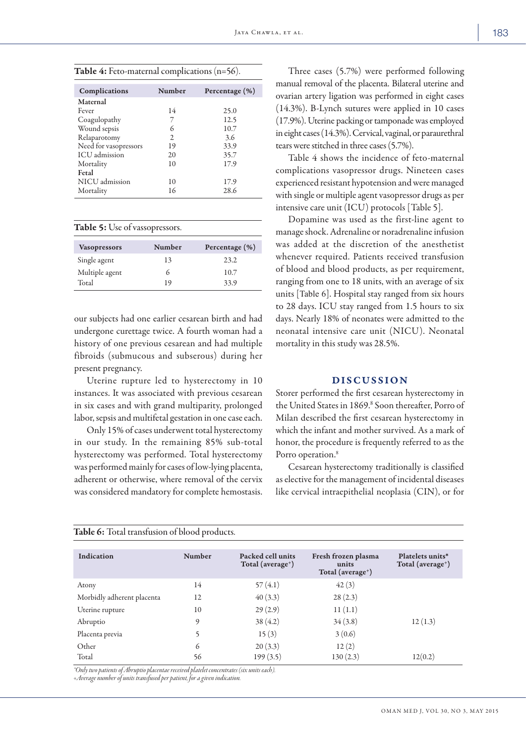| Complications         | Number | Percentage (%) |
|-----------------------|--------|----------------|
| Maternal              |        |                |
| Fever                 | 14     | 25.0           |
| Coagulopathy          | 7      | 12.5           |
| Wound sepsis          | 6      | 10.7           |
| Relaparotomy          | 2      | 3.6            |
| Need for vasopressors | 19     | 33.9           |
| <b>ICU</b> admission  | 20     | 35.7           |
| Mortality             | 10     | 17.9           |
| Fetal                 |        |                |
| NICU admission        | 10     | 17.9           |
| Mortality             | 16     | 28.6           |

Table 4: Feto-maternal complications (n=56).

| <b>Vasopressors</b> | Number | Percentage (%) |
|---------------------|--------|----------------|
| Single agent        | 13     | 23.2           |
| Multiple agent      | 6      | 10.7           |
| Total               | 19     | 33.9           |

our subjects had one earlier cesarean birth and had undergone curettage twice. A fourth woman had a history of one previous cesarean and had multiple fibroids (submucous and subserous) during her present pregnancy.

Uterine rupture led to hysterectomy in 10 instances. It was associated with previous cesarean in six cases and with grand multiparity, prolonged labor, sepsis and multifetal gestation in one case each.

Only 15% of cases underwent total hysterectomy in our study. In the remaining 85% sub-total hysterectomy was performed. Total hysterectomy was performed mainly for cases of low-lying placenta, adherent or otherwise, where removal of the cervix was considered mandatory for complete hemostasis.

Three cases (5.7%) were performed following manual removal of the placenta. Bilateral uterine and ovarian artery ligation was performed in eight cases (14.3%). B-Lynch sutures were applied in 10 cases (17.9%). Uterine packing or tamponade was employed in eight cases (14.3%). Cervical, vaginal, or paraurethral tears were stitched in three cases (5.7%).

Table 4 shows the incidence of feto-maternal complications vasopressor drugs. Nineteen cases experienced resistant hypotension and were managed with single or multiple agent vasopressor drugs as per intensive care unit (ICU) protocols [Table 5].

Dopamine was used as the first-line agent to manage shock. Adrenaline or noradrenaline infusion was added at the discretion of the anesthetist whenever required. Patients received transfusion of blood and blood products, as per requirement, ranging from one to 18 units, with an average of six units [Table 6]. Hospital stay ranged from six hours to 28 days. ICU stay ranged from 1.5 hours to six days. Nearly 18% of neonates were admitted to the neonatal intensive care unit (NICU). Neonatal mortality in this study was 28.5%.

## DISCUSSION

Storer performed the first cesarean hysterectomy in the United States in 1869.<sup>8</sup> Soon thereafter, Porro of Milan described the first cesarean hysterectomy in which the infant and mother survived. As a mark of honor, the procedure is frequently referred to as the Porro operation.<sup>8</sup>

Cesarean hysterectomy traditionally is classified as elective for the management of incidental diseases like cervical intraepithelial neoplasia (CIN), or for

| Indication                 | Number | Packed cell units<br>Total (average <sup>+</sup> ) | Fresh frozen plasma<br>units<br>Total (average <sup>+</sup> ) | Platelets units*<br>Total (average <sup>+</sup> ) |
|----------------------------|--------|----------------------------------------------------|---------------------------------------------------------------|---------------------------------------------------|
| Atony                      | 14     | 57(4.1)                                            | 42(3)                                                         |                                                   |
| Morbidly adherent placenta | 12     | 40(3.3)                                            | 28(2.3)                                                       |                                                   |
| Uterine rupture            | 10     | 29(2.9)                                            | 11(1.1)                                                       |                                                   |
| Abruptio                   | 9      | 38(4.2)                                            | 34(3.8)                                                       | 12(1.3)                                           |
| Placenta previa            | 5      | 15(3)                                              | 3(0.6)                                                        |                                                   |
| Other                      | 6      | 20(3.3)                                            | 12(2)                                                         |                                                   |
| Total                      | 56     | 199(3.5)                                           | 130(2.3)                                                      | 12(0.2)                                           |

## Table 6: Total transfusion of blood products.

*\*Only two patients of Abruptio placentae received platelet concentrates (six units each).*

*+Average number of units transfused per patient, for a given indication.*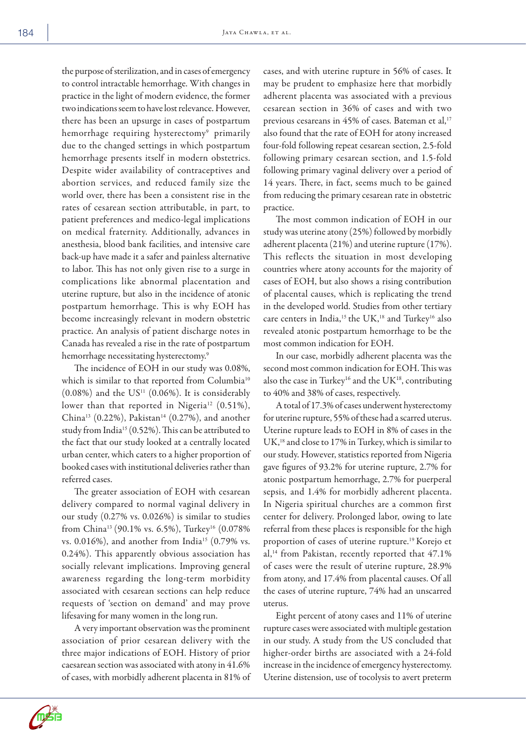the purpose of sterilization, and in cases of emergency to control intractable hemorrhage. With changes in practice in the light of modern evidence, the former two indications seem to have lost relevance. However, there has been an upsurge in cases of postpartum hemorrhage requiring hysterectomy<sup>9</sup> primarily due to the changed settings in which postpartum hemorrhage presents itself in modern obstetrics. Despite wider availability of contraceptives and abortion services, and reduced family size the world over, there has been a consistent rise in the rates of cesarean section attributable, in part, to patient preferences and medico-legal implications on medical fraternity. Additionally, advances in anesthesia, blood bank facilities, and intensive care back-up have made it a safer and painless alternative to labor. This has not only given rise to a surge in complications like abnormal placentation and uterine rupture, but also in the incidence of atonic postpartum hemorrhage. This is why EOH has become increasingly relevant in modern obstetric practice. An analysis of patient discharge notes in Canada has revealed a rise in the rate of postpartum hemorrhage necessitating hysterectomy.<sup>9</sup>

The incidence of EOH in our study was 0.08%, which is similar to that reported from Columbia<sup>10</sup>  $(0.08\%)$  and the US<sup>11</sup>  $(0.06\%)$ . It is considerably lower than that reported in Nigeria<sup>12</sup> (0.51%), China<sup>13</sup> (0.22%), Pakistan<sup>14</sup> (0.27%), and another study from India15 (0.52%). This can be attributed to the fact that our study looked at a centrally located urban center, which caters to a higher proportion of booked cases with institutional deliveries rather than referred cases.

The greater association of EOH with cesarean delivery compared to normal vaginal delivery in our study (0.27% vs. 0.026%) is similar to studies from China<sup>13</sup> (90.1% vs. 6.5%), Turkey<sup>16</sup> (0.078%) vs.  $0.016\%$ ), and another from India<sup>15</sup> (0.79% vs. 0.24%). This apparently obvious association has socially relevant implications. Improving general awareness regarding the long-term morbidity associated with cesarean sections can help reduce requests of 'section on demand' and may prove lifesaving for many women in the long run.

A very important observation was the prominent association of prior cesarean delivery with the three major indications of EOH. History of prior caesarean section was associated with atony in 41.6% of cases, with morbidly adherent placenta in 81% of cases, and with uterine rupture in 56% of cases. It may be prudent to emphasize here that morbidly adherent placenta was associated with a previous cesarean section in 36% of cases and with two previous cesareans in 45% of cases. Bateman et al,<sup>17</sup> also found that the rate of EOH for atony increased four-fold following repeat cesarean section, 2.5-fold following primary cesarean section, and 1.5-fold following primary vaginal delivery over a period of 14 years. There, in fact, seems much to be gained from reducing the primary cesarean rate in obstetric practice.

The most common indication of EOH in our study was uterine atony (25%) followed by morbidly adherent placenta (21%) and uterine rupture (17%). This reflects the situation in most developing countries where atony accounts for the majority of cases of EOH, but also shows a rising contribution of placental causes, which is replicating the trend in the developed world. Studies from other tertiary care centers in India,<sup>15</sup> the UK,<sup>18</sup> and Turkey<sup>16</sup> also revealed atonic postpartum hemorrhage to be the most common indication for EOH.

In our case, morbidly adherent placenta was the second most common indication for EOH. This was also the case in Turkey<sup>16</sup> and the UK<sup>18</sup>, contributing to 40% and 38% of cases, respectively.

A total of 17.3% of cases underwent hysterectomy for uterine rupture, 55% of these had a scarred uterus. Uterine rupture leads to EOH in 8% of cases in the UK,18 and close to 17% in Turkey, which is similar to our study. However, statistics reported from Nigeria gave figures of 93.2% for uterine rupture, 2.7% for atonic postpartum hemorrhage, 2.7% for puerperal sepsis, and 1.4% for morbidly adherent placenta. In Nigeria spiritual churches are a common first center for delivery. Prolonged labor, owing to late referral from these places is responsible for the high proportion of cases of uterine rupture.19 Korejo et al,<sup>14</sup> from Pakistan, recently reported that 47.1% of cases were the result of uterine rupture, 28.9% from atony, and 17.4% from placental causes. Of all the cases of uterine rupture, 74% had an unscarred uterus.

Eight percent of atony cases and 11% of uterine rupture cases were associated with multiple gestation in our study. A study from the US concluded that higher-order births are associated with a 24-fold increase in the incidence of emergency hysterectomy. Uterine distension, use of tocolysis to avert preterm

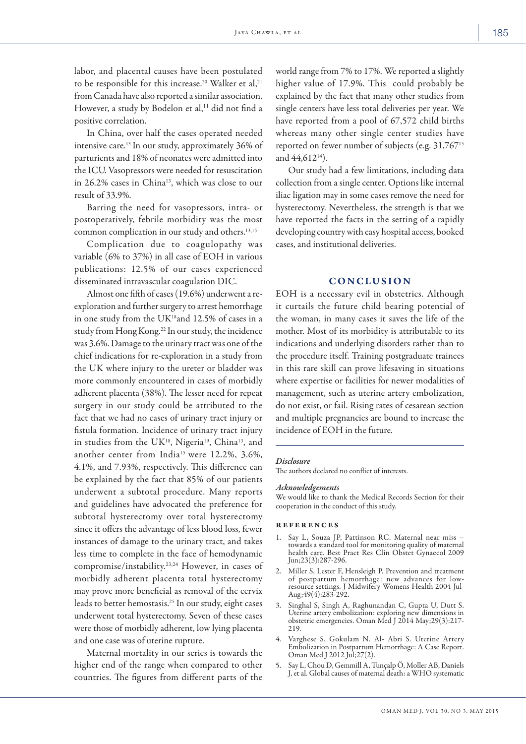labor, and placental causes have been postulated to be responsible for this increase.<sup>20</sup> Walker et al,<sup>21</sup> from Canada have also reported a similar association. However, a study by Bodelon et al,<sup>11</sup> did not find a positive correlation.

In China, over half the cases operated needed intensive care.13 In our study, approximately 36% of parturients and 18% of neonates were admitted into the ICU. Vasopressors were needed for resuscitation in 26.2% cases in China<sup>13</sup>, which was close to our result of 33.9%.

Barring the need for vasopressors, intra- or postoperatively, febrile morbidity was the most common complication in our study and others.13,15

Complication due to coagulopathy was variable (6% to 37%) in all case of EOH in various publications: 12.5% of our cases experienced disseminated intravascular coagulation DIC.

Almost one fifth of cases (19.6%) underwent a reexploration and further surgery to arrest hemorrhage in one study from the UK18and 12.5% of cases in a study from Hong Kong.22 In our study, the incidence was 3.6%. Damage to the urinary tract was one of the chief indications for re-exploration in a study from the UK where injury to the ureter or bladder was more commonly encountered in cases of morbidly adherent placenta (38%). The lesser need for repeat surgery in our study could be attributed to the fact that we had no cases of urinary tract injury or fistula formation. Incidence of urinary tract injury in studies from the UK<sup>18</sup>, Nigeria<sup>19</sup>, China<sup>13</sup>, and another center from India15 were 12.2%, 3.6%, 4.1%, and 7.93%, respectively. This difference can be explained by the fact that 85% of our patients underwent a subtotal procedure. Many reports and guidelines have advocated the preference for subtotal hysterectomy over total hysterectomy since it offers the advantage of less blood loss, fewer instances of damage to the urinary tract, and takes less time to complete in the face of hemodynamic compromise/instability.23,24 However, in cases of morbidly adherent placenta total hysterectomy may prove more beneficial as removal of the cervix leads to better hemostasis.25 In our study, eight cases underwent total hysterectomy. Seven of these cases were those of morbidly adherent, low lying placenta and one case was of uterine rupture.

Maternal mortality in our series is towards the higher end of the range when compared to other countries. The figures from different parts of the

world range from 7% to 17%. We reported a slightly higher value of 17.9%. This could probably be explained by the fact that many other studies from single centers have less total deliveries per year. We have reported from a pool of 67,572 child births whereas many other single center studies have reported on fewer number of subjects (e.g. 31,767<sup>15</sup> and 44,61214).

Our study had a few limitations, including data collection from a single center. Options like internal iliac ligation may in some cases remove the need for hysterectomy. Nevertheless, the strength is that we have reported the facts in the setting of a rapidly developing country with easy hospital access, booked cases, and institutional deliveries.

## **CONCLUSION**

EOH is a necessary evil in obstetrics. Although it curtails the future child bearing potential of the woman, in many cases it saves the life of the mother. Most of its morbidity is attributable to its indications and underlying disorders rather than to the procedure itself. Training postgraduate trainees in this rare skill can prove lifesaving in situations where expertise or facilities for newer modalities of management, such as uterine artery embolization, do not exist, or fail. Rising rates of cesarean section and multiple pregnancies are bound to increase the incidence of EOH in the future.

#### *Disclosure*

The authors declared no conflict of interests.

#### *Acknowledgements*

We would like to thank the Medical Records Section for their cooperation in the conduct of this study.

#### references

- 1. Say L, Souza JP, Pattinson RC. Maternal near miss towards a standard tool for monitoring quality of maternal health care. Best Pract Res Clin Obstet Gynaecol 2009 Jun;23(3):287-296.
- 2. Miller S, Lester F, Hensleigh P. Prevention and treatment of postpartum hemorrhage: new advances for lowresource settings. J Midwifery Womens Health 2004 Jul-Aug;49(4):283-292.
- 3. Singhal S, Singh A, Raghunandan C, Gupta U, Dutt S. Uterine artery embolization: exploring new dimensions in obstetric emergencies. Oman Med J 2014 May;29(3):217- 219.
- 4. Varghese S, Gokulam N. Al- Abri S. Uterine Artery Embolization in Postpartum Hemorrhage: A Case Report. Oman Med J 2012 Jul;27(2).
- 5. Say L, Chou D, Gemmill A, Tunçalp Ö, Moller AB, Daniels J, et al. Global causes of maternal death: a WHO systematic